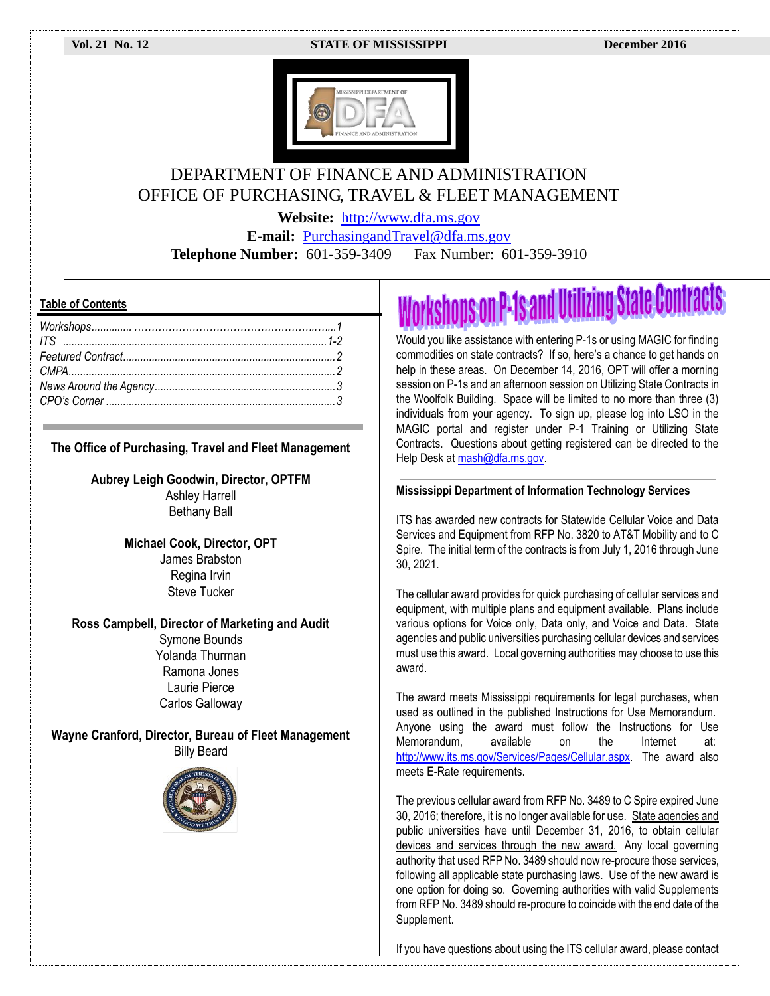### **Vol. 21 No. 12 STATE OF MISSISSIPPI December 2016**



### DEPARTMENT OF FINANCE AND ADMINISTRATION OFFICE OF PURCHASING, TRAVEL & FLEET MANAGEMENT

**Website:** [http://www.dfa.ms.gov](http://www.dfa.ms.gov/)

**E-mail:** [PurchasingandTravel@dfa.ms.gov](mailto:PurchasingandTravel@dfa.ms.gov) **Telephone Number:** 601-359-3409 Fax Number: 601-359-3910

### **Table of Contents**

### **The Office of Purchasing, Travel and Fleet Management**

**Aubrey Leigh Goodwin, Director, OPTFM**

Ashley Harrell Bethany Ball

**Michael Cook, Director, OPT** James Brabston Regina Irvin Steve Tucker

### **Ross Campbell, Director of Marketing and Audit**

Symone Bounds Yolanda Thurman Ramona Jones Laurie Pierce Carlos Galloway

**Wayne Cranford, Director, Bureau of Fleet Management** Billy Beard



# **Workshops on P-1s and Utilizing State Contracts**

Would you like assistance with entering P-1s or using MAGIC for finding commodities on state contracts? If so, here's a chance to get hands on help in these areas. On December 14, 2016, OPT will offer a morning session on P-1s and an afternoon session on Utilizing State Contracts in the Woolfolk Building. Space will be limited to no more than three (3) individuals from your agency. To sign up, please log into LSO in the MAGIC portal and register under P-1 Training or Utilizing State Contracts. Questions about getting registered can be directed to the Help Desk at mash@dfa.ms.gov.

### **Mississippi Department of Information Technology Services**

ITS has awarded new contracts for Statewide Cellular Voice and Data Services and Equipment from RFP No. 3820 to AT&T Mobility and to C Spire. The initial term of the contracts is from July 1, 2016 through June 30, 2021.

The cellular award provides for quick purchasing of cellular services and equipment, with multiple plans and equipment available. Plans include various options for Voice only, Data only, and Voice and Data. State agencies and public universities purchasing cellular devices and services must use this award. Local governing authorities may choose to use this award.

The award meets Mississippi requirements for legal purchases, when used as outlined in the published Instructions for Use Memorandum. Anyone using the award must follow the Instructions for Use Memorandum, available on the Internet at: [http://www.its.ms.gov/Services/Pages/Cellular.aspx.](http://www.its.ms.gov/Services/Pages/Cellular.aspx) The award also meets E-Rate requirements.

The previous cellular award from RFP No. 3489 to C Spire expired June 30, 2016; therefore, it is no longer available for use. State agencies and public universities have until December 31, 2016, to obtain cellular devices and services through the new award. Any local governing authority that used RFP No. 3489 should now re-procure those services, following all applicable state purchasing laws. Use of the new award is one option for doing so. Governing authorities with valid Supplements from RFP No. 3489 should re-procure to coincide with the end date of the Supplement.

If you have questions about using the ITS cellular award, please contact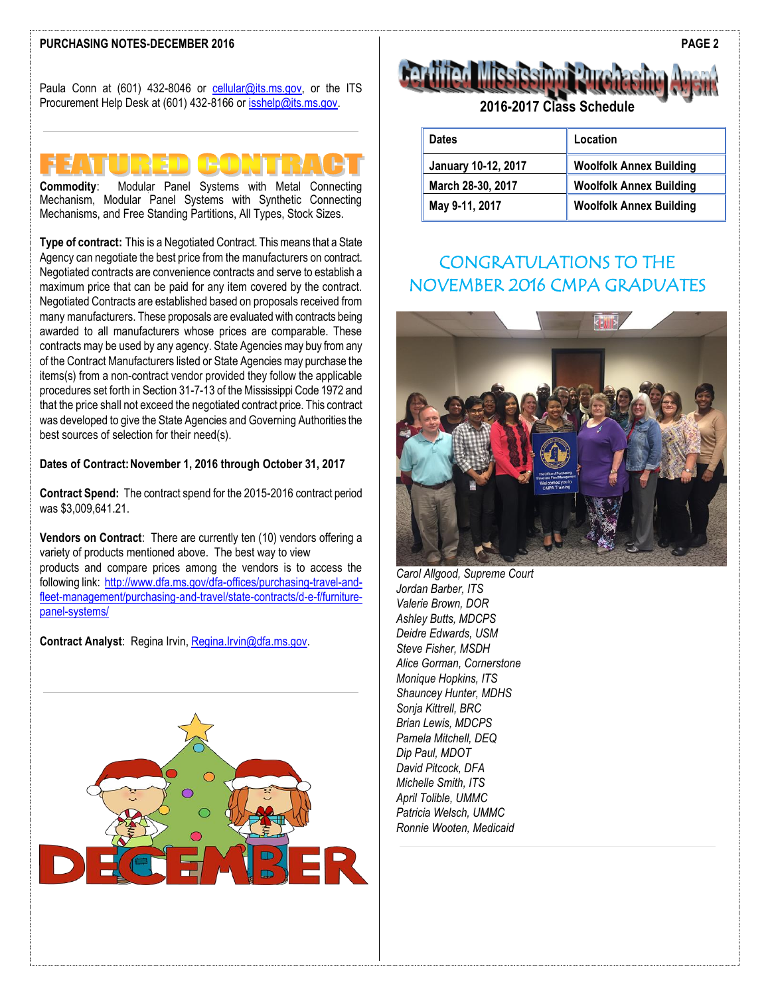### **PURCHASING NOTES-DECEMBER 2016**

Paula Conn at (601) 432-8046 or [cellular@its.ms.gov,](mailto:cellular@its.ms.gov) or the ITS Procurement Help Desk at (601) 432-8166 or [isshelp@its.ms.gov.](mailto:isshelp@its.ms.gov)



**Commodity**: Modular Panel Systems with Metal Connecting Mechanism, Modular Panel Systems with Synthetic Connecting Mechanisms, and Free Standing Partitions, All Types, Stock Sizes.

**Type of contract:** This is a Negotiated Contract. This means that a State Agency can negotiate the best price from the manufacturers on contract. Negotiated contracts are convenience contracts and serve to establish a maximum price that can be paid for any item covered by the contract. Negotiated Contracts are established based on proposals received from many manufacturers. These proposals are evaluated with contracts being awarded to all manufacturers whose prices are comparable. These contracts may be used by any agency. State Agencies may buy from any of the Contract Manufacturers listed or State Agencies may purchase the items(s) from a non-contract vendor provided they follow the applicable procedures set forth in Section 31-7-13 of the Mississippi Code 1972 and that the price shall not exceed the negotiated contract price. This contract was developed to give the State Agencies and Governing Authorities the best sources of selection for their need(s).

### **Dates of Contract:November 1, 2016 through October 31, 2017**

**Contract Spend:** The contract spend for the 2015-2016 contract period was \$3,009,641.21.

**Vendors on Contract**: There are currently ten (10) vendors offering a variety of products mentioned above. The best way to view products and compare prices among the vendors is to access the following link: [http://www.dfa.ms.gov/dfa-offices/purchasing-travel-and](http://www.dfa.ms.gov/dfa-offices/purchasing-travel-and-fleet-management/purchasing-and-travel/state-contracts/d-e-f/furniture-panel-systems/)[fleet-management/purchasing-and-travel/state-contracts/d-e-f/furniture](http://www.dfa.ms.gov/dfa-offices/purchasing-travel-and-fleet-management/purchasing-and-travel/state-contracts/d-e-f/furniture-panel-systems/)[panel-systems/](http://www.dfa.ms.gov/dfa-offices/purchasing-travel-and-fleet-management/purchasing-and-travel/state-contracts/d-e-f/furniture-panel-systems/)

**Contract Analyst**: Regina Irvin, [Regina.Irvin@dfa.ms.gov.](mailto:Regina.Irvin@dfa.ms.gov) 





| Dates               | Location                       |
|---------------------|--------------------------------|
| January 10-12, 2017 | <b>Woolfolk Annex Building</b> |
| March 28-30, 2017   | <b>Woolfolk Annex Building</b> |
| May 9-11, 2017      | <b>Woolfolk Annex Building</b> |

## CONGRATULATIONS TO THE NOVEMBER 2016 CMPA GRADUATES



*Carol Allgood, Supreme Court Jordan Barber, ITS Valerie Brown, DOR Ashley Butts, MDCPS Deidre Edwards, USM Steve Fisher, MSDH Alice Gorman, Cornerstone Monique Hopkins, ITS Shauncey Hunter, MDHS Sonja Kittrell, BRC Brian Lewis, MDCPS Pamela Mitchell, DEQ Dip Paul, MDOT David Pitcock, DFA Michelle Smith, ITS April Tolible, UMMC Patricia Welsch, UMMC Ronnie Wooten, Medicaid*

**PAGE 2**